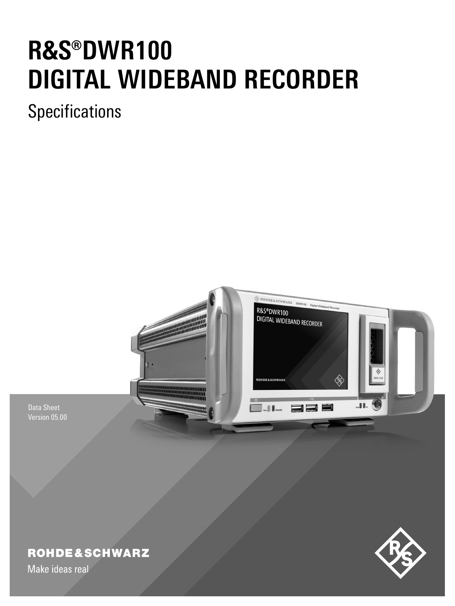# **R&S®DWR100 DIGITAL WIDEBAND RECORDER**

**Specifications** 



Data Sheet Version 05.00

# **ROHDE&SCHWARZ**

Make ideas real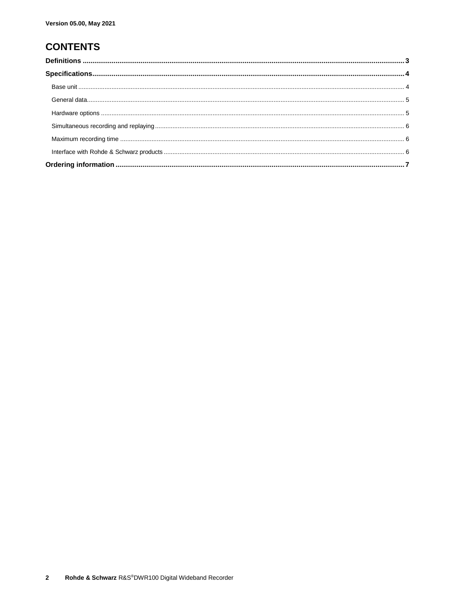# **CONTENTS**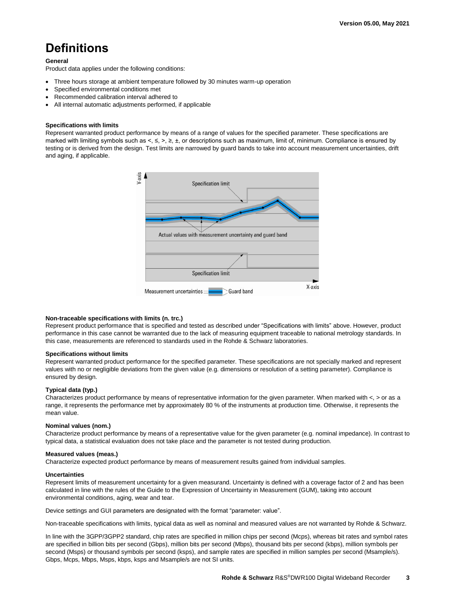# <span id="page-2-0"></span>**Definitions**

### **General**

Product data applies under the following conditions:

- Three hours storage at ambient temperature followed by 30 minutes warm-up operation
- Specified environmental conditions met
- Recommended calibration interval adhered to
- All internal automatic adjustments performed, if applicable

### **Specifications with limits**

Represent warranted product performance by means of a range of values for the specified parameter. These specifications are marked with limiting symbols such as <, ≤, >, ≥, ±, or descriptions such as maximum, limit of, minimum. Compliance is ensured by testing or is derived from the design. Test limits are narrowed by guard bands to take into account measurement uncertainties, drift and aging, if applicable.



### **Non-traceable specifications with limits (n. trc.)**

Represent product performance that is specified and tested as described under "Specifications with limits" above. However, product performance in this case cannot be warranted due to the lack of measuring equipment traceable to national metrology standards. In this case, measurements are referenced to standards used in the Rohde & Schwarz laboratories.

### **Specifications without limits**

Represent warranted product performance for the specified parameter. These specifications are not specially marked and represent values with no or negligible deviations from the given value (e.g. dimensions or resolution of a setting parameter). Compliance is ensured by design.

### **Typical data (typ.)**

Characterizes product performance by means of representative information for the given parameter. When marked with  $\lt$ ,  $>$  or as a range, it represents the performance met by approximately 80 % of the instruments at production time. Otherwise, it represents the mean value.

### **Nominal values (nom.)**

Characterize product performance by means of a representative value for the given parameter (e.g. nominal impedance). In contrast to typical data, a statistical evaluation does not take place and the parameter is not tested during production.

### **Measured values (meas.)**

Characterize expected product performance by means of measurement results gained from individual samples.

### **Uncertainties**

Represent limits of measurement uncertainty for a given measurand. Uncertainty is defined with a coverage factor of 2 and has been calculated in line with the rules of the Guide to the Expression of Uncertainty in Measurement (GUM), taking into account environmental conditions, aging, wear and tear.

Device settings and GUI parameters are designated with the format "parameter: value".

Non-traceable specifications with limits, typical data as well as nominal and measured values are not warranted by Rohde & Schwarz.

In line with the 3GPP/3GPP2 standard, chip rates are specified in million chips per second (Mcps), whereas bit rates and symbol rates are specified in billion bits per second (Gbps), million bits per second (Mbps), thousand bits per second (kbps), million symbols per second (Msps) or thousand symbols per second (ksps), and sample rates are specified in million samples per second (Msample/s). Gbps, Mcps, Mbps, Msps, kbps, ksps and Msample/s are not SI units.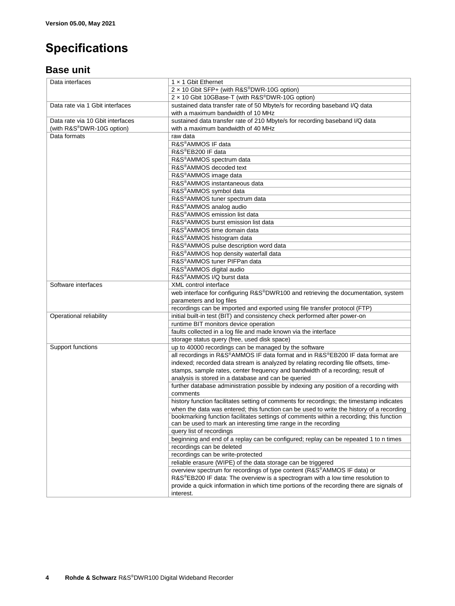# <span id="page-3-0"></span>**Specifications**

### <span id="page-3-1"></span>**Base unit**

| Data interfaces                  | 1 x 1 Gbit Ethernet                                                                      |  |  |  |  |
|----------------------------------|------------------------------------------------------------------------------------------|--|--|--|--|
|                                  | 2 x 10 Gbit SFP+ (with R&S®DWR-10G option)                                               |  |  |  |  |
|                                  | 2 x 10 Gbit 10GBase-T (with R&S®DWR-10G option)                                          |  |  |  |  |
| Data rate via 1 Gbit interfaces  | sustained data transfer rate of 50 Mbyte/s for recording baseband I/Q data               |  |  |  |  |
|                                  | with a maximum bandwidth of 10 MHz                                                       |  |  |  |  |
| Data rate via 10 Gbit interfaces | sustained data transfer rate of 210 Mbyte/s for recording baseband I/Q data              |  |  |  |  |
| (with R&S®DWR-10G option)        | with a maximum bandwidth of 40 MHz                                                       |  |  |  |  |
| Data formats                     | raw data                                                                                 |  |  |  |  |
|                                  | R&S®AMMOS IF data                                                                        |  |  |  |  |
|                                  | R&S®EB200 IF data                                                                        |  |  |  |  |
|                                  | R&S®AMMOS spectrum data                                                                  |  |  |  |  |
|                                  | R&S <sup>®</sup> AMMOS decoded text                                                      |  |  |  |  |
|                                  | R&S®AMMOS image data                                                                     |  |  |  |  |
|                                  | R&S <sup>®</sup> AMMOS instantaneous data                                                |  |  |  |  |
|                                  | R&S®AMMOS symbol data                                                                    |  |  |  |  |
|                                  | R&S®AMMOS tuner spectrum data                                                            |  |  |  |  |
|                                  |                                                                                          |  |  |  |  |
|                                  | R&S <sup>®</sup> AMMOS analog audio<br>R&S <sup>®</sup> AMMOS emission list data         |  |  |  |  |
|                                  |                                                                                          |  |  |  |  |
|                                  | R&S®AMMOS burst emission list data                                                       |  |  |  |  |
|                                  | R&S <sup>®</sup> AMMOS time domain data                                                  |  |  |  |  |
|                                  | R&S <sup>®</sup> AMMOS histogram data                                                    |  |  |  |  |
|                                  | R&S®AMMOS pulse description word data                                                    |  |  |  |  |
|                                  | R&S®AMMOS hop density waterfall data                                                     |  |  |  |  |
|                                  | R&S <sup>®</sup> AMMOS tuner PIFPan data                                                 |  |  |  |  |
|                                  | R&S <sup>®</sup> AMMOS digital audio                                                     |  |  |  |  |
|                                  | R&S®AMMOS I/Q burst data                                                                 |  |  |  |  |
| Software interfaces              | XML control interface                                                                    |  |  |  |  |
|                                  | web interface for configuring R&S®DWR100 and retrieving the documentation, system        |  |  |  |  |
|                                  | parameters and log files                                                                 |  |  |  |  |
|                                  | recordings can be imported and exported using file transfer protocol (FTP)               |  |  |  |  |
| Operational reliability          | initial built-in test (BIT) and consistency check performed after power-on               |  |  |  |  |
|                                  | runtime BIT monitors device operation                                                    |  |  |  |  |
|                                  | faults collected in a log file and made known via the interface                          |  |  |  |  |
|                                  | storage status query (free, used disk space)                                             |  |  |  |  |
| Support functions                | up to 40000 recordings can be managed by the software                                    |  |  |  |  |
|                                  | all recordings in R&S®AMMOS IF data format and in R&S®EB200 IF data format are           |  |  |  |  |
|                                  | indexed; recorded data stream is analyzed by relating recording file offsets, time-      |  |  |  |  |
|                                  | stamps, sample rates, center frequency and bandwidth of a recording; result of           |  |  |  |  |
|                                  | analysis is stored in a database and can be queried                                      |  |  |  |  |
|                                  | further database administration possible by indexing any position of a recording with    |  |  |  |  |
|                                  | comments                                                                                 |  |  |  |  |
|                                  | history function facilitates setting of comments for recordings; the timestamp indicates |  |  |  |  |
|                                  | when the data was entered; this function can be used to write the history of a recording |  |  |  |  |
|                                  | bookmarking function facilitates settings of comments within a recording; this function  |  |  |  |  |
|                                  | can be used to mark an interesting time range in the recording                           |  |  |  |  |
|                                  | query list of recordings                                                                 |  |  |  |  |
|                                  | beginning and end of a replay can be configured; replay can be repeated 1 to n times     |  |  |  |  |
|                                  | recordings can be deleted                                                                |  |  |  |  |
|                                  | recordings can be write-protected                                                        |  |  |  |  |
|                                  | reliable erasure (WIPE) of the data storage can be triggered                             |  |  |  |  |
|                                  | overview spectrum for recordings of type content (R&S®AMMOS IF data) or                  |  |  |  |  |
|                                  | R&S®EB200 IF data: The overview is a spectrogram with a low time resolution to           |  |  |  |  |
|                                  | provide a quick information in which time portions of the recording there are signals of |  |  |  |  |
|                                  | interest.                                                                                |  |  |  |  |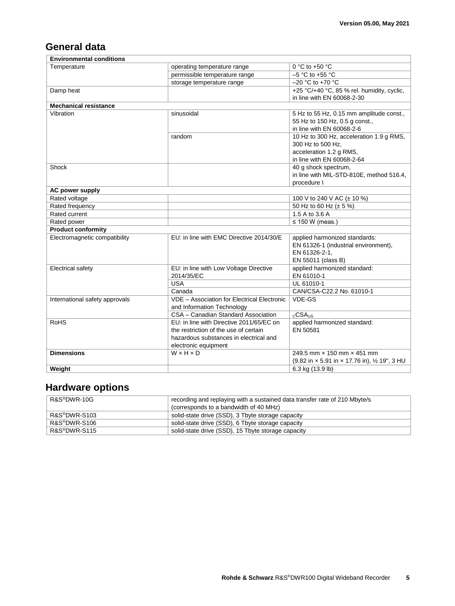# <span id="page-4-0"></span>**General data**

| <b>Environmental conditions</b> |                                                                   |                                               |
|---------------------------------|-------------------------------------------------------------------|-----------------------------------------------|
| Temperature                     | operating temperature range                                       | 0 °C to +50 $\degree$ C                       |
|                                 | permissible temperature range                                     | $-5$ °C to +55 °C                             |
|                                 | storage temperature range                                         | $-20$ °C to +70 °C                            |
| Damp heat                       |                                                                   | +25 °C/+40 °C, 85 % rel. humidity, cyclic,    |
|                                 |                                                                   | in line with EN 60068-2-30                    |
| <b>Mechanical resistance</b>    |                                                                   |                                               |
| Vibration                       | sinusoidal                                                        | 5 Hz to 55 Hz, 0.15 mm amplitude const.,      |
|                                 |                                                                   | 55 Hz to 150 Hz, 0.5 g const.,                |
|                                 |                                                                   | in line with EN 60068-2-6                     |
|                                 | random                                                            | 10 Hz to 300 Hz, acceleration 1.9 g RMS,      |
|                                 |                                                                   | 300 Hz to 500 Hz,                             |
|                                 |                                                                   | acceleration 1.2 g RMS,                       |
|                                 |                                                                   | in line with EN 60068-2-64                    |
| Shock                           |                                                                   | 40 g shock spectrum,                          |
|                                 |                                                                   | in line with MIL-STD-810E. method 516.4.      |
|                                 |                                                                   | procedure I                                   |
| AC power supply                 |                                                                   |                                               |
| Rated voltage                   |                                                                   | 100 V to 240 V AC (± 10 %)                    |
| Rated frequency                 |                                                                   | 50 Hz to 60 Hz $(\pm 5\%)$                    |
| Rated current                   |                                                                   | 1.5 A to 3.6 A                                |
| Rated power                     |                                                                   | $\leq$ 150 W (meas.)                          |
| <b>Product conformity</b>       |                                                                   |                                               |
| Electromagnetic compatibility   | EU: in line with EMC Directive 2014/30/E                          | applied harmonized standards:                 |
|                                 |                                                                   | EN 61326-1 (industrial environment),          |
|                                 |                                                                   | EN 61326-2-1.                                 |
|                                 |                                                                   | EN 55011 (class B)                            |
| Electrical safety               | EU: in line with Low Voltage Directive                            | applied harmonized standard:                  |
|                                 | 2014/35/EC                                                        | EN 61010-1                                    |
|                                 | <b>USA</b>                                                        | UL 61010-1                                    |
|                                 | Canada<br>VDE - Association for Electrical Electronic             | CAN/CSA-C22.2 No. 61010-1<br>VDE-GS           |
| International safety approvals  |                                                                   |                                               |
|                                 | and Information Technology<br>CSA - Canadian Standard Association | $c$ CSA $_{HS}$                               |
| <b>RoHS</b>                     | EU: in line with Directive 2011/65/EC on                          | applied harmonized standard:                  |
|                                 | the restriction of the use of certain                             | EN 50581                                      |
|                                 | hazardous substances in electrical and                            |                                               |
|                                 |                                                                   |                                               |
| <b>Dimensions</b>               | electronic equipment<br>$W \times H \times D$                     | 249.5 mm × 150 mm × 451 mm                    |
|                                 |                                                                   | (9.82 in x 5.91 in x 17.76 in), 1/2 19", 3 HU |
|                                 |                                                                   |                                               |
| Weight                          |                                                                   | 6.3 kg (13.9 lb)                              |

# <span id="page-4-1"></span>**Hardware options**

| R&S®DWR-10G               | recording and replaying with a sustained data transfer rate of 210 Mbyte/s |  |  |  |
|---------------------------|----------------------------------------------------------------------------|--|--|--|
|                           | (corresponds to a bandwidth of 40 MHz)                                     |  |  |  |
| R&S <sup>®</sup> DWR-S103 | solid-state drive (SSD), 3 Tbyte storage capacity                          |  |  |  |
| R&S®DWR-S106              | solid-state drive (SSD), 6 Tbyte storage capacity                          |  |  |  |
| R&S <sup>®</sup> DWR-S115 | solid-state drive (SSD), 15 Tbyte storage capacity                         |  |  |  |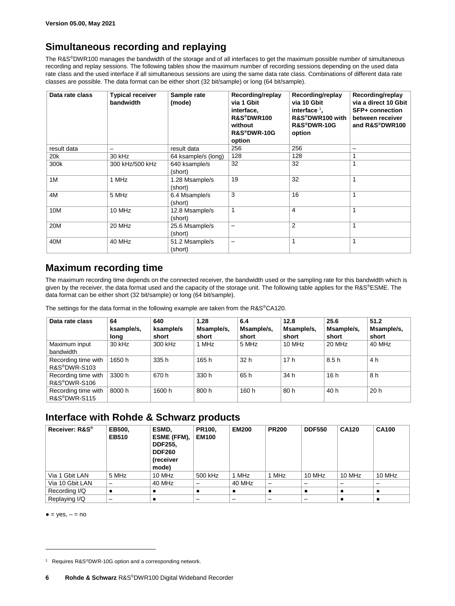## <span id="page-5-0"></span>**Simultaneous recording and replaying**

The R&S®DWR100 manages the bandwidth of the storage and of all interfaces to get the maximum possible number of simultaneous recording and replay sessions. The following tables show the maximum number of recording sessions depending on the used data rate class and the used interface if all simultaneous sessions are using the same data rate class. Combinations of different data rate classes are possible. The data format can be either short (32 bit/sample) or long (64 bit/sample).

| Data rate class | <b>Typical receiver</b><br>bandwidth | Sample rate<br>(mode)     | Recording/replay<br>via 1 Gbit<br>interface,<br>R&S®DWR100<br>without<br>R&S®DWR-10G<br>option | Recording/replay<br>via 10 Gbit<br>interface $1$ ,<br>R&S <sup>®</sup> DWR100 with<br><b>R&amp;S®DWR-10G</b><br>option | Recording/replay<br>via a direct 10 Gbit<br><b>SFP+ connection</b><br>between receiver<br>and R&S®DWR100 |
|-----------------|--------------------------------------|---------------------------|------------------------------------------------------------------------------------------------|------------------------------------------------------------------------------------------------------------------------|----------------------------------------------------------------------------------------------------------|
| result data     |                                      | result data               | 256                                                                                            | 256                                                                                                                    |                                                                                                          |
| 20k             | 30 kHz                               | 64 ksample/s (long)       | 128                                                                                            | 128                                                                                                                    |                                                                                                          |
| 300k            | 300 kHz/500 kHz                      | 640 ksample/s<br>(short)  | 32                                                                                             | 32                                                                                                                     |                                                                                                          |
| 1M              | 1 MHz                                | 1.28 Msample/s<br>(short) | 19                                                                                             | 32                                                                                                                     |                                                                                                          |
| 4M              | 5 MHz                                | 6.4 Msample/s<br>(short)  | 3                                                                                              | 16                                                                                                                     |                                                                                                          |
| 10M             | 10 MHz                               | 12.8 Msample/s<br>(short) | 1                                                                                              | 4                                                                                                                      |                                                                                                          |
| 20M             | 20 MHz                               | 25.6 Msample/s<br>(short) | $\overline{\phantom{0}}$                                                                       | $\overline{2}$                                                                                                         |                                                                                                          |
| 40M             | 40 MHz                               | 51.2 Msample/s<br>(short) | —                                                                                              |                                                                                                                        |                                                                                                          |

### <span id="page-5-1"></span>**Maximum recording time**

The maximum recording time depends on the connected receiver, the bandwidth used or the sampling rate for this bandwidth which is given by the receiver, the data format used and the capacity of the storage unit. The following table applies for the R&S®ESME. The data format can be either short (32 bit/sample) or long (64 bit/sample).

The settings for the data format in the following example are taken from the R&S®CA120.

| Data rate class                                  | 64<br>ksample/s,<br>long | 640<br>ksample/s<br>short | 1.28<br>Msample/s,<br>short | 6.4<br>Msample/s,<br>short | 12.8<br>Msample/s,<br>short | 25.6<br>Msample/s,<br>short | 51.2<br>Msample/s,<br>short |
|--------------------------------------------------|--------------------------|---------------------------|-----------------------------|----------------------------|-----------------------------|-----------------------------|-----------------------------|
| Maximum input<br>bandwidth                       | $30$ kHz                 | 300 kHz                   | 1 MHz                       | 5 MHz                      | 10 MHz                      | 20 MHz                      | 40 MHz                      |
| Recording time with<br>R&S <sup>®</sup> DWR-S103 | 1650 h                   | 335 h                     | 165 h                       | 32 h                       | 17h                         | 8.5h                        | 4 h                         |
| Recording time with<br>R&S <sup>®</sup> DWR-S106 | 3300 h                   | 670 h                     | 330 h                       | 65 h                       | 34 h                        | 16h                         | 8 h                         |
| Recording time with<br>R&S®DWR-S115              | 8000 h                   | 1600 h                    | 800 h                       | 160 h                      | 80 h                        | 40 h                        | 20h                         |

### <span id="page-5-2"></span>**Interface with Rohde & Schwarz products**

| Receiver: R&S <sup>®</sup> | EB500,<br><b>EB510</b> | ESMD.<br>ESME (FFM),<br><b>DDF255.</b><br><b>DDF260</b><br>(receiver<br>mode) | PR100.<br><b>EM100</b> | <b>EM200</b> | <b>PR200</b> | <b>DDF550</b> | <b>CA120</b> | <b>CA100</b> |
|----------------------------|------------------------|-------------------------------------------------------------------------------|------------------------|--------------|--------------|---------------|--------------|--------------|
| Via 1 Gbit LAN             | 5 MHz                  | 10 MHz                                                                        | 500 kHz                | 1 MHz        | 1 MHz        | 10 MHz        | 10 MHz       | 10 MHz       |
| Via 10 Gbit LAN            | –                      | 40 MHz                                                                        |                        | 40 MHz       | -            |               |              |              |
| Recording I/Q              |                        | $\bullet$                                                                     |                        |              |              |               |              |              |
| Replaying I/Q              |                        | ٠                                                                             |                        |              |              |               |              |              |

 $\bullet$  = yes,  $-$  = no

 $\overline{a}$ 

<sup>&</sup>lt;sup>1</sup> Requires R&S<sup>®</sup>DWR-10G option and a corresponding network.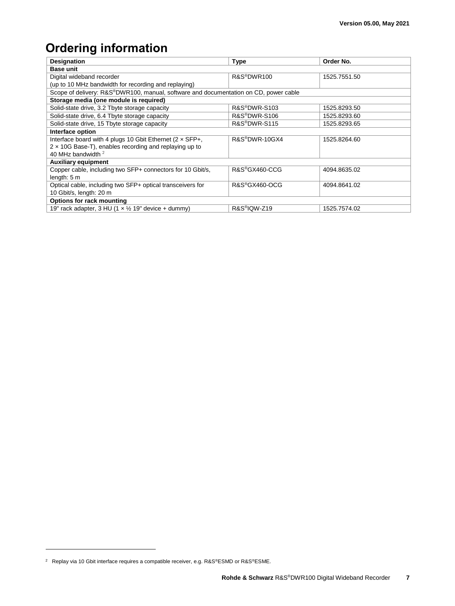# <span id="page-6-0"></span>**Ordering information**

| <b>Designation</b>                                                                              | <b>Type</b>                | Order No.    |  |  |  |  |  |
|-------------------------------------------------------------------------------------------------|----------------------------|--------------|--|--|--|--|--|
| <b>Base unit</b>                                                                                |                            |              |  |  |  |  |  |
| Digital wideband recorder                                                                       | R&S <sup>®</sup> DWR100    | 1525.7551.50 |  |  |  |  |  |
| (up to 10 MHz bandwidth for recording and replaying)                                            |                            |              |  |  |  |  |  |
| Scope of delivery: R&S®DWR100, manual, software and documentation on CD, power cable            |                            |              |  |  |  |  |  |
| Storage media (one module is required)                                                          |                            |              |  |  |  |  |  |
| Solid-state drive, 3.2 Tbyte storage capacity                                                   | R&S <sup>®</sup> DWR-S103  | 1525.8293.50 |  |  |  |  |  |
| Solid-state drive, 6.4 Tbyte storage capacity                                                   | R&S <sup>®</sup> DWR-S106  | 1525.8293.60 |  |  |  |  |  |
| Solid-state drive, 15 Tbyte storage capacity                                                    | R&S <sup>®</sup> DWR-S115  | 1525.8293.65 |  |  |  |  |  |
| Interface option                                                                                |                            |              |  |  |  |  |  |
| Interface board with 4 plugs 10 Gbit Ethernet (2 x SFP+,                                        | R&S <sup>®</sup> DWR-10GX4 | 1525.8264.60 |  |  |  |  |  |
| $2 \times 10$ G Base-T), enables recording and replaying up to<br>40 MHz bandwidth <sup>2</sup> |                            |              |  |  |  |  |  |
|                                                                                                 |                            |              |  |  |  |  |  |
| <b>Auxiliary equipment</b>                                                                      |                            |              |  |  |  |  |  |
| Copper cable, including two SFP+ connectors for 10 Gbit/s,                                      | R&S®GX460-CCG              | 4094.8635.02 |  |  |  |  |  |
| length: 5 m                                                                                     |                            |              |  |  |  |  |  |
| Optical cable, including two SFP+ optical transceivers for                                      | R&S <sup>®</sup> GX460-OCG | 4094.8641.02 |  |  |  |  |  |
| 10 Gbit/s, length: 20 m                                                                         |                            |              |  |  |  |  |  |
| Options for rack mounting                                                                       |                            |              |  |  |  |  |  |
| 19" rack adapter, 3 HU (1 $\times$ 1/2 19" device + dummy)                                      | R&S <sup>®</sup> IQW-Z19   | 1525.7574.02 |  |  |  |  |  |

 $\overline{a}$ 

<sup>2</sup> Replay via 10 Gbit interface requires a compatible receiver, e.g. R&S®ESMD or R&S®ESME.